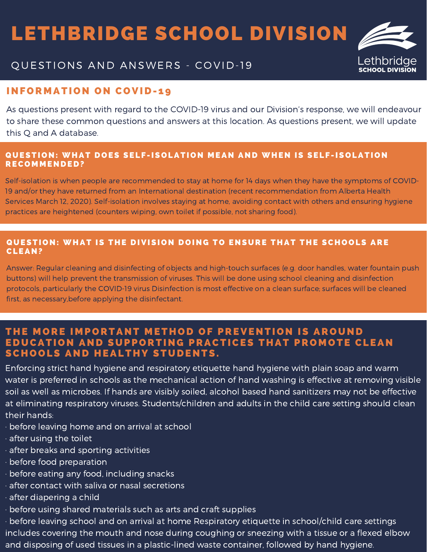## LETHBRIDGE SCHOOL DIVISION



## QUESTIONS AND ANSWERS - COVID-19

## **INFORMATION ON COVID-19**

As questions present with regard to the COVID-19 virus and our Division's response, we will endeavour to share these common questions and answers at this location. As questions present, we will update this Q and A database.

#### QUESTION: WHAT DOES SELF-ISOLATION MEAN AND WHEN IS SELF-ISOLATION RECOMMENDED?

Self-isolation is when people are recommended to stay at home for 14 days when they have the symptoms of COVID-19 and/or they have returned from an International destination (recent recommendation from Alberta Health Services March 12, 2020). Self-isolation involves staying at home, avoiding contact with others and ensuring hygiene practices are heightened (counters wiping, own toilet if possible, not sharing food).

#### QUESTION: WHAT IS THE DIVISION DOING TO ENSURE THAT THE SCHOOLS ARE CLEAN?

Answer: Regular cleaning and disinfecting of objects and high-touch surfaces (e.g. door handles, water fountain push buttons) will help prevent the transmission of viruses. This will be done using school cleaning and disinfection protocols, particularly the COVID-19 virus Disinfection is most effective on a clean surface; surfaces will be cleaned first, as necessary,before applying the disinfectant.

### THE MORE IMPORTANT METHOD OF PREVENTION IS AROUND EDUCATION AND SUPPORTING PRACTICES THAT PROMOTE CLEAN SCHOOLS AND HEALTHY STUDENTS.

Enforcing strict hand hygiene and respiratory etiquette hand hygiene with plain soap and warm water is preferred in schools as the mechanical action of hand washing is effective at removing visible soil as well as microbes. If hands are visibly soiled, alcohol based hand sanitizers may not be effective at eliminating respiratory viruses. Students/children and adults in the child care setting should clean their hands:

- · before leaving home and on arrival at school
- · after using the toilet
- · after breaks and sporting activities
- · before food preparation
- · before eating any food, including snacks
- · after contact with saliva or nasal secretions
- · after diapering a child
- · before using shared materials such as arts and craft supplies

· before leaving school and on arrival at home Respiratory etiquette in school/child care settings includes covering the mouth and nose during coughing or sneezing with a tissue or a flexed elbow and disposing of used tissues in a plastic-lined waste container, followed by hand hygiene.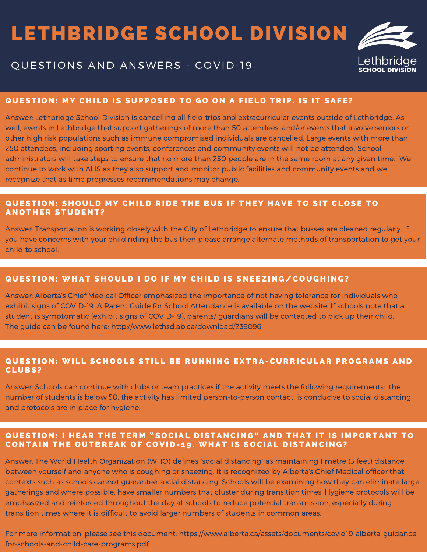# LETHBRIDGE SCHOOL DIVISION



### QUESTIONS AND ANSWERS - COVID-19

#### QUESTION: MY CHILD IS SUPPOSED TO GO ON A FIELD TRIP. IS IT SAFE?

Answer: Lethbridge School Division is cancelling all field trips and extracurricular events outside of Lethbridge. As well, events in Lethbridge that support gatherings of more than 50 attendees, and/or events that involve seniors or other high risk populations such as immune compromised individuals are cancelled. Large events with more than 250 attendees, including sporting events, conferences and community events will not be attended. School administrators will take steps to ensure that no more than 250 people are in the same room at any given time. We continue to work with AHS as they also support and monitor public facilities and community events and we recognize that as time progresses recommendations may change.

#### QUESTION: SHOULD MY CHILD RIDE THE BUS IF THEY HAVE TO SIT CLOSE TO **ANOTHER STUDENT?**

Answer: Transportation is working closely with the City of Lethbridge to ensure that busses are cleaned regularly. If you have concerns with your child riding the bus then please arrange alternate methods of transportation to get your child to school.

#### QUESTION: WHAT SHOULD I DO IF MY CHILD IS SNEEZING/COUGHING?

Answer: Alberta's Chief Medical Officer emphasized the importance of not having tolerance for individuals who exhibit signs of COVID-19. A Parent Guide for School Attendance is available on the website. If schools note that a student is symptomatic (exhibit signs of COVID-19), parents/ guardians will be contacted to pick up their child.. The guide can be found here: http://www.lethsd.ab.ca/download/239096

#### QUESTION: WILL SCHOOLS STILL BE RUNNING EXTRA-CURRICULAR PROGRAMS AND CL U BS?

Answer: Schools can continue with clubs or team practices if the activity meets the following requirements: the number of students is below 50, the activity has limited person-to-person contact, is conducive to social distancing, and protocols are in place for hygiene.

#### QUESTION: I HEAR THE TERM "SOCIAL DISTANCING" AND THAT IT IS IMPORTANT TO CONTAIN THE OUTBREAK OF COVID-19. WHAT IS SOCIAL DISTANCING?

Answer: The World Health Organization (WHO) defines "social distancing" as maintaining 1 metre (3 feet) distance between yourself and anyone who is coughing or sneezing. It is recognized by Alberta's Chief Medical officer that contexts such as schools cannot guarantee social distancing. Schools will be examining how they can eliminate large gatherings and where possible, have smaller numbers that cluster during transition times. Hygiene protocols will be emphasized and reinforced throughout the day at schools to reduce potential transmission, especially during transition times where it is difficult to avoid larger numbers of students in common areas..

For more information, please see this document: https://www.alberta.ca/assets/documents/covid19-alberta-guidancefor-schools-and-child-care-programs.pdf